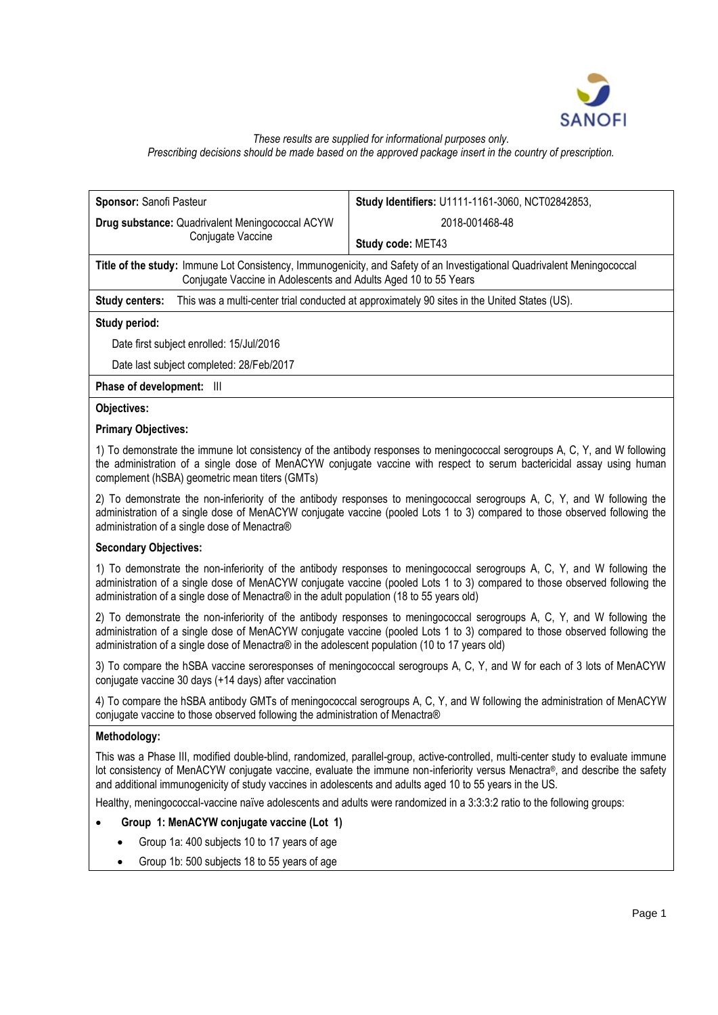

# *These results are supplied for informational purposes only. Prescribing decisions should be made based on the approved package insert in the country of prescription.*

| Sponsor: Sanofi Pasteur                                                                                        | Study Identifiers: U1111-1161-3060, NCT02842853,                                                                        |  |  |  |  |  |
|----------------------------------------------------------------------------------------------------------------|-------------------------------------------------------------------------------------------------------------------------|--|--|--|--|--|
| <b>Drug substance: Quadrivalent Meningococcal ACYW</b>                                                         | 2018-001468-48                                                                                                          |  |  |  |  |  |
| Conjugate Vaccine                                                                                              | Study code: MET43                                                                                                       |  |  |  |  |  |
| Conjugate Vaccine in Adolescents and Adults Aged 10 to 55 Years                                                | Title of the study: Immune Lot Consistency, Immunogenicity, and Safety of an Investigational Quadrivalent Meningococcal |  |  |  |  |  |
| This was a multi-center trial conducted at approximately 90 sites in the United States (US).<br>Study centers: |                                                                                                                         |  |  |  |  |  |
| Study period:                                                                                                  |                                                                                                                         |  |  |  |  |  |
| Date first subject enrolled: 15/Jul/2016                                                                       |                                                                                                                         |  |  |  |  |  |
| Date last subject completed: 28/Feb/2017                                                                       |                                                                                                                         |  |  |  |  |  |
| Phase of development:<br>Ш                                                                                     |                                                                                                                         |  |  |  |  |  |
| <b>Objectives:</b>                                                                                             |                                                                                                                         |  |  |  |  |  |
| <b>Primary Objectives:</b>                                                                                     |                                                                                                                         |  |  |  |  |  |

1) To demonstrate the immune lot consistency of the antibody responses to meningococcal serogroups A, C, Y, and W following the administration of a single dose of MenACYW conjugate vaccine with respect to serum bactericidal assay using human complement (hSBA) geometric mean titers (GMTs)

2) To demonstrate the non-inferiority of the antibody responses to meningococcal serogroups A, C, Y, and W following the administration of a single dose of MenACYW conjugate vaccine (pooled Lots 1 to 3) compared to those observed following the administration of a single dose of Menactra®

### **Secondary Objectives:**

1) To demonstrate the non-inferiority of the antibody responses to meningococcal serogroups A, C, Y, and W following the administration of a single dose of MenACYW conjugate vaccine (pooled Lots 1 to 3) compared to those observed following the administration of a single dose of Menactra® in the adult population (18 to 55 years old)

2) To demonstrate the non-inferiority of the antibody responses to meningococcal serogroups A, C, Y, and W following the administration of a single dose of MenACYW conjugate vaccine (pooled Lots 1 to 3) compared to those observed following the administration of a single dose of Menactra® in the adolescent population (10 to 17 years old)

3) To compare the hSBA vaccine seroresponses of meningococcal serogroups A, C, Y, and W for each of 3 lots of MenACYW conjugate vaccine 30 days (+14 days) after vaccination

4) To compare the hSBA antibody GMTs of meningococcal serogroups A, C, Y, and W following the administration of MenACYW conjugate vaccine to those observed following the administration of Menactra®

### **Methodology:**

This was a Phase III, modified double-blind, randomized, parallel-group, active-controlled, multi-center study to evaluate immune lot consistency of MenACYW conjugate vaccine, evaluate the immune non-inferiority versus Menactra®, and describe the safety and additional immunogenicity of study vaccines in adolescents and adults aged 10 to 55 years in the US.

Healthy, meningococcal-vaccine naïve adolescents and adults were randomized in a 3:3:3:2 ratio to the following groups:

### • **Group 1: MenACYW conjugate vaccine (Lot 1)**

- Group 1a: 400 subjects 10 to 17 years of age
- Group 1b: 500 subjects 18 to 55 years of age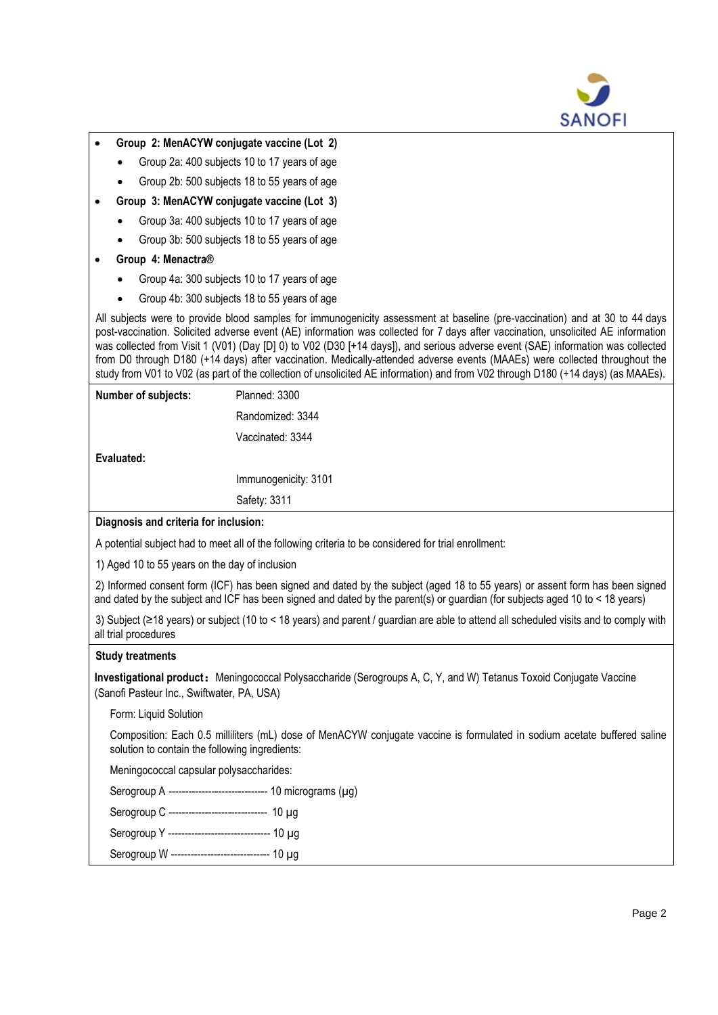

- **Group 2: MenACYW conjugate vaccine (Lot 2)**
	- Group 2a: 400 subjects 10 to 17 years of age
	- Group 2b: 500 subjects 18 to 55 years of age
- **Group 3: MenACYW conjugate vaccine (Lot 3)**
	- Group 3a: 400 subjects 10 to 17 years of age
	- Group 3b: 500 subjects 18 to 55 years of age
- **Group 4: Menactra®**
	- Group 4a: 300 subjects 10 to 17 years of age
	- Group 4b: 300 subjects 18 to 55 years of age

All subjects were to provide blood samples for immunogenicity assessment at baseline (pre-vaccination) and at 30 to 44 days post-vaccination. Solicited adverse event (AE) information was collected for 7 days after vaccination, unsolicited AE information was collected from Visit 1 (V01) (Day [D] 0) to V02 (D30 [+14 days]), and serious adverse event (SAE) information was collected from D0 through D180 (+14 days) after vaccination. Medically-attended adverse events (MAAEs) were collected throughout the study from V01 to V02 (as part of the collection of unsolicited AE information) and from V02 through D180 (+14 days) (as MAAEs).

| Number of subjects:                                                                                  | Planned: 3300        |  |  |  |  |
|------------------------------------------------------------------------------------------------------|----------------------|--|--|--|--|
|                                                                                                      | Randomized: 3344     |  |  |  |  |
|                                                                                                      | Vaccinated: 3344     |  |  |  |  |
| Evaluated:                                                                                           |                      |  |  |  |  |
|                                                                                                      | Immunogenicity: 3101 |  |  |  |  |
|                                                                                                      | Safety: 3311         |  |  |  |  |
| Diagnosis and criteria for inclusion:                                                                |                      |  |  |  |  |
| A potential subject had to meet all of the following criteria to be considered for trial enrollment: |                      |  |  |  |  |
| 1) Aged 10 to 55 years on the day of inclusion                                                       |                      |  |  |  |  |

2) Informed consent form (ICF) has been signed and dated by the subject (aged 18 to 55 years) or assent form has been signed and dated by the subject and ICF has been signed and dated by the parent(s) or guardian (for subjects aged 10 to < 18 years)

3) Subject (≥18 years) or subject (10 to < 18 years) and parent / guardian are able to attend all scheduled visits and to comply with all trial procedures

### **Study treatments**

**Investigational product:**Meningococcal Polysaccharide (Serogroups A, C, Y, and W) Tetanus Toxoid Conjugate Vaccine (Sanofi Pasteur Inc., Swiftwater, PA, USA)

Form: Liquid Solution

Composition: Each 0.5 milliliters (mL) dose of MenACYW conjugate vaccine is formulated in sodium acetate buffered saline solution to contain the following ingredients:

Meningococcal capsular polysaccharides:

Serogroup A ---------------------------------- 10 micrograms (µq)

Serogroup C -------------------------------- 10 µ g

Serogroup Y -------------------------------- 10 µg

Serogroup W ------------------------------- 10 µg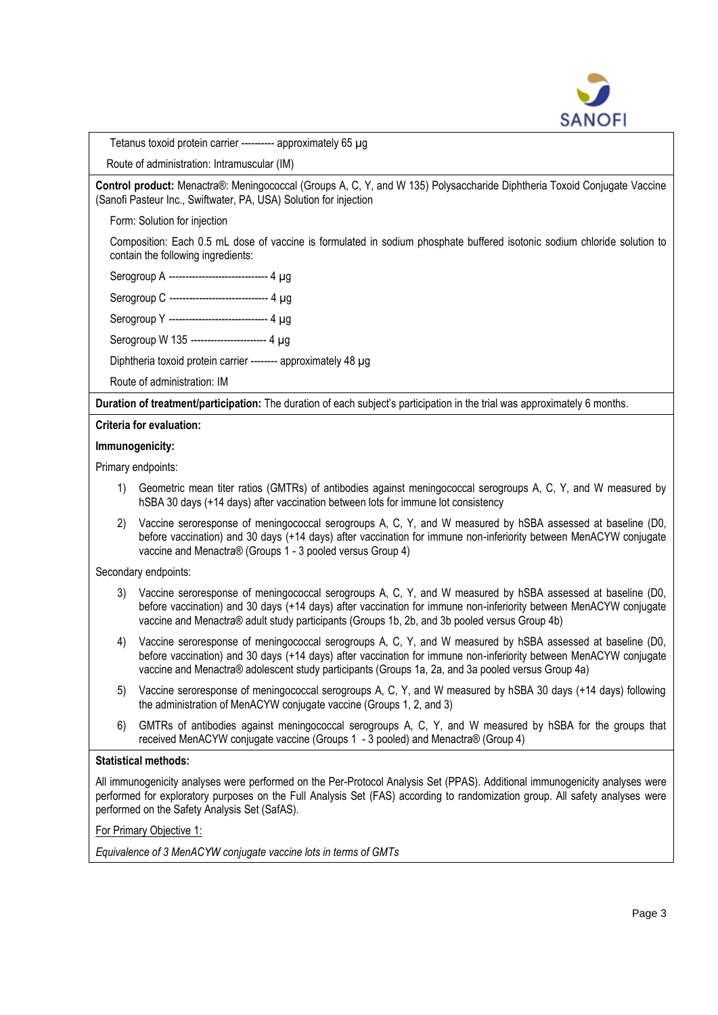

Tetanus toxoid protein carrier ---------- approximately 65 µg

Route of administration: Intramuscular (IM)

**Control product:** Menactra® : Meningococcal (Groups A, C, Y, and W 135) Polysaccharide Diphtheria Toxoid Conjugate Vaccine (Sanofi Pasteur Inc., Swiftwater, PA, USA) Solution for injection

Form: Solution for injection

Composition: Each 0.5 mL dose of vaccine is formulated in sodium phosphate buffered isotonic sodium chloride solution to contain the following ingredients:

Serogroup A ------------------------------ 4 µg

Serogroup C ------------------------------ 4 µg

Serogroup Y ------------------------------ 4 ug

Serogroup W 135 ----------------------- 4 µg

Diphtheria toxoid protein carrier -------- approximately 48 µg

Route of administration: IM

**Duration of treatment/participation:** The duration of each subject's participation in the trial was approximately 6 months.

#### **Criteria for evaluation:**

#### **Immunogenicity:**

Primary endpoints:

- 1) Geometric mean titer ratios (GMTRs) of antibodies against meningococcal serogroups A, C, Y, and W measured by hSBA 30 days (+14 days) after vaccination between lots for immune lot consistency
- 2) Vaccine seroresponse of meningococcal serogroups A, C, Y, and W measured by hSBA assessed at baseline (D0, before vaccination) and 30 days (+14 days) after vaccination for immune non-inferiority between MenACYW conjugate vaccine and Menactra® (Groups 1 - 3 pooled versus Group 4)

Secondary endpoints:

- 3) Vaccine seroresponse of meningococcal serogroups A, C, Y, and W measured by hSBA assessed at baseline (D0, before vaccination) and 30 days (+14 days) after vaccination for immune non-inferiority between MenACYW conjugate vaccine and Menactra® adult study participants (Groups 1b, 2b, and 3b pooled versus Group 4b)
- 4) Vaccine seroresponse of meningococcal serogroups A, C, Y, and W measured by hSBA assessed at baseline (D0, before vaccination) and 30 days (+14 days) after vaccination for immune non-inferiority between MenACYW conjugate vaccine and Menactra® adolescent study participants (Groups 1a, 2a, and 3a pooled versus Group 4a)
- 5) Vaccine seroresponse of meningococcal serogroups A, C, Y, and W measured by hSBA 30 days (+14 days) following the administration of MenACYW conjugate vaccine (Groups 1, 2, and 3)
- 6) GMTRs of antibodies against meningococcal serogroups A, C, Y, and W measured by hSBA for the groups that received MenACYW conjugate vaccine (Groups 1 - 3 pooled) and Menactra® (Group 4)

### **Statistical methods:**

All immunogenicity analyses were performed on the Per-Protocol Analysis Set (PPAS). Additional immunogenicity analyses were performed for exploratory purposes on the Full Analysis Set (FAS) according to randomization group. All safety analyses were performed on the Safety Analysis Set (SafAS).

For Primary Objective 1:

*Equivalence of 3 MenACYW conjugate vaccine lots in terms of GMTs*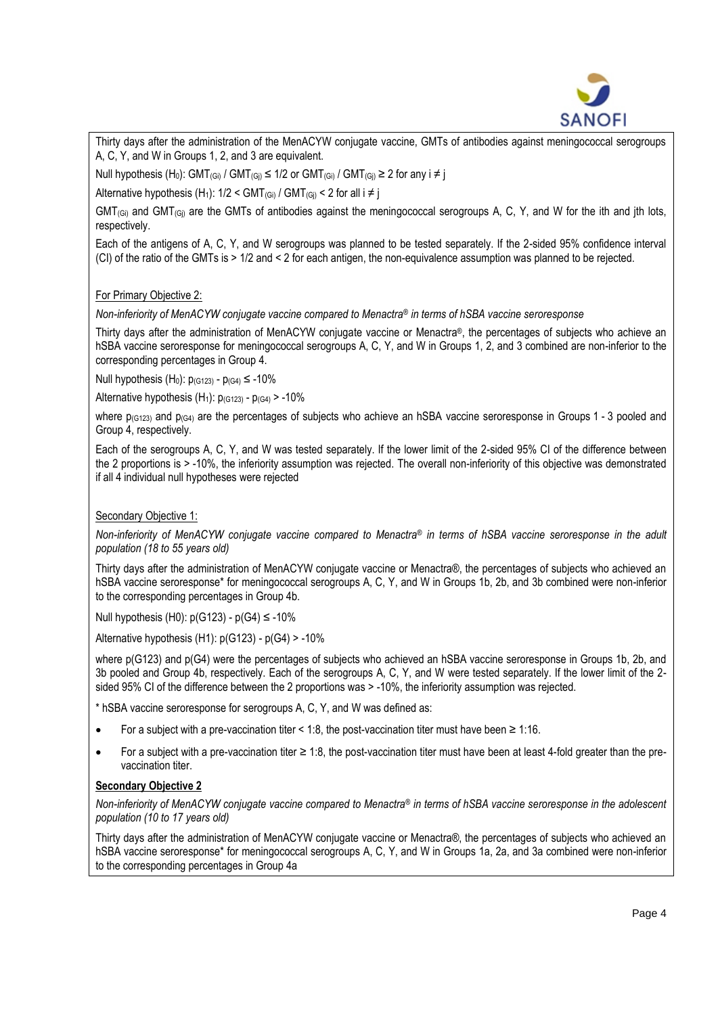

Thirty days after the administration of the MenACYW conjugate vaccine, GMTs of antibodies against meningococcal serogroups A, C, Y, and W in Groups 1, 2, and 3 are equivalent.

Null hypothesis (H<sub>0</sub>): GMT<sub>(Gi)</sub> / GMT<sub>(Gi)</sub>  $\leq$  1/2 or GMT<sub>(Gi)</sub> / GMT<sub>(Gi)</sub>  $\geq$  2 for any i  $\neq$  j

Alternative hypothesis (H<sub>1</sub>):  $1/2 < GMT_{(Gi)} / GMT_{(Gi)} < 2$  for all  $i \neq j$ 

 $GMT_{(Gi)}$  and  $GMT_{(Gi)}$  are the GMTs of antibodies against the meningococcal serogroups A, C, Y, and W for the ith and jth lots, respectively.

Each of the antigens of A, C, Y, and W serogroups was planned to be tested separately. If the 2-sided 95% confidence interval (CI) of the ratio of the GMTs is > 1/2 and < 2 for each antigen, the non-equivalence assumption was planned to be rejected.

## For Primary Objective 2:

*Non-inferiority of MenACYW conjugate vaccine compared to Menactra*® *in terms of hSBA vaccine seroresponse*

Thirty days after the administration of MenACYW conjugate vaccine or Menactra® , the percentages of subjects who achieve an hSBA vaccine seroresponse for meningococcal serogroups A, C, Y, and W in Groups 1, 2, and 3 combined are non-inferior to the corresponding percentages in Group 4.

Null hypothesis (H<sub>0</sub>):  $p_{(G123)} - p_{(G4)} \le -10\%$ 

Alternative hypothesis  $(H_1)$ :  $p_{(G123)} - p_{(G4)} > -10\%$ 

where  $p_{(G123)}$  and  $p_{(G4)}$  are the percentages of subjects who achieve an hSBA vaccine seroresponse in Groups 1 - 3 pooled and Group 4, respectively.

Each of the serogroups A, C, Y, and W was tested separately. If the lower limit of the 2-sided 95% CI of the difference between the 2 proportions is > -10%, the inferiority assumption was rejected. The overall non-inferiority of this objective was demonstrated if all 4 individual null hypotheses were rejected

# Secondary Objective 1:

*Non-inferiority of MenACYW conjugate vaccine compared to Menactra*® *in terms of hSBA vaccine seroresponse in the adult population (18 to 55 years old)*

Thirty days after the administration of MenACYW conjugate vaccine or Menactra® , the percentages of subjects who achieved an hSBA vaccine seroresponse\* for meningococcal serogroups A, C, Y, and W in Groups 1b, 2b, and 3b combined were non-inferior to the corresponding percentages in Group 4b.

Null hypothesis (H0):  $p(G123) - p(G4)$  ≤ -10%

Alternative hypothesis (H1): p(G123) - p(G4) > -10%

where p(G123) and p(G4) were the percentages of subjects who achieved an hSBA vaccine seroresponse in Groups 1b, 2b, and 3b pooled and Group 4b, respectively. Each of the serogroups A, C, Y, and W were tested separately. If the lower limit of the 2 sided 95% CI of the difference between the 2 proportions was > -10%, the inferiority assumption was rejected.

\* hSBA vaccine seroresponse for serogroups A, C, Y, and W was defined as:

- For a subject with a pre-vaccination titer < 1:8, the post-vaccination titer must have been ≥ 1:16.
- For a subject with a pre-vaccination titer ≥ 1:8, the post-vaccination titer must have been at least 4-fold greater than the prevaccination titer.

### **Secondary Objective 2**

*Non-inferiority of MenACYW conjugate vaccine compared to Menactra® in terms of hSBA vaccine seroresponse in the adolescent population (10 to 17 years old)*

Thirty days after the administration of MenACYW conjugate vaccine or Menactra®, the percentages of subjects who achieved an hSBA vaccine seroresponse\* for meningococcal serogroups A, C, Y, and W in Groups 1a, 2a, and 3a combined were non-inferior to the corresponding percentages in Group 4a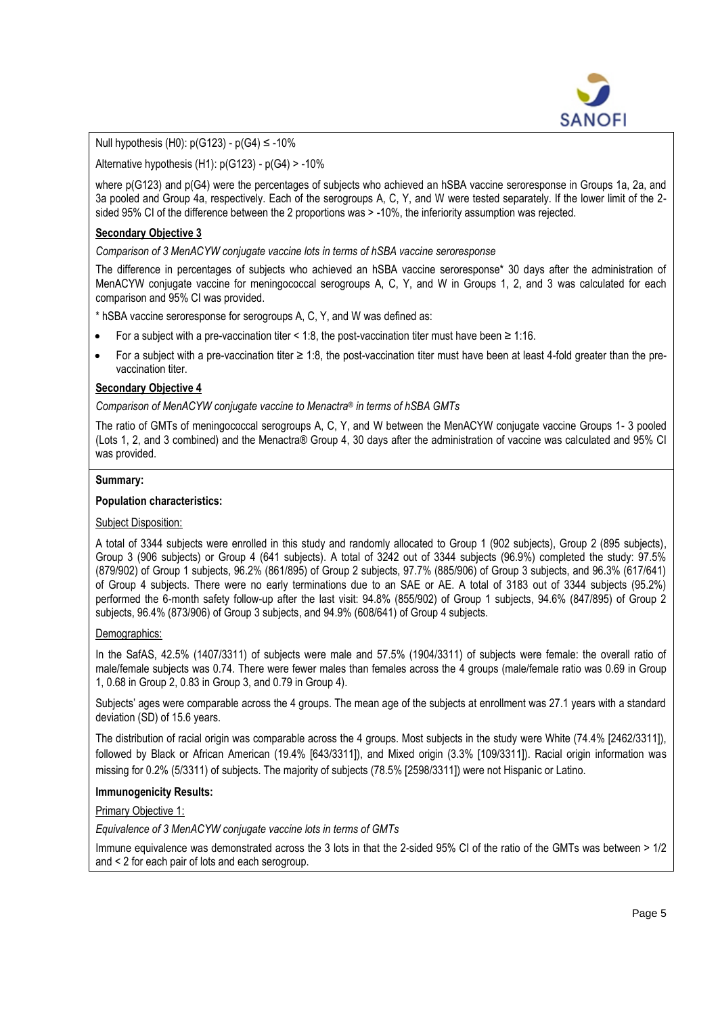

Null hypothesis (H0): p(G123) - p(G4) ≤ -10%

Alternative hypothesis  $(H1)$ :  $p(G123) - p(G4) > -10\%$ 

where p(G123) and p(G4) were the percentages of subjects who achieved an hSBA vaccine seroresponse in Groups 1a, 2a, and 3a pooled and Group 4a, respectively. Each of the serogroups A, C, Y, and W were tested separately. If the lower limit of the 2 sided 95% CI of the difference between the 2 proportions was > -10%, the inferiority assumption was rejected.

## **Secondary Objective 3**

*Comparison of 3 MenACYW conjugate vaccine lots in terms of hSBA vaccine seroresponse*

The difference in percentages of subjects who achieved an hSBA vaccine seroresponse\* 30 days after the administration of MenACYW conjugate vaccine for meningococcal serogroups A, C, Y, and W in Groups 1, 2, and 3 was calculated for each comparison and 95% CI was provided.

\* hSBA vaccine seroresponse for serogroups A, C, Y, and W was defined as:

- For a subject with a pre-vaccination titer < 1:8, the post-vaccination titer must have been ≥ 1:16.
- For a subject with a pre-vaccination titer  $\geq 1.8$ , the post-vaccination titer must have been at least 4-fold greater than the prevaccination titer.

## **Secondary Objective 4**

*Comparison of MenACYW conjugate vaccine to Menactra*® *in terms of hSBA GMTs*

The ratio of GMTs of meningococcal serogroups A, C, Y, and W between the MenACYW conjugate vaccine Groups 1- 3 pooled (Lots 1, 2, and 3 combined) and the Menactra® Group 4, 30 days after the administration of vaccine was calculated and 95% CI was provided.

#### **Summary:**

### **Population characteristics:**

### Subject Disposition:

A total of 3344 subjects were enrolled in this study and randomly allocated to Group 1 (902 subjects), Group 2 (895 subjects), Group 3 (906 subjects) or Group 4 (641 subjects). A total of 3242 out of 3344 subjects (96.9%) completed the study: 97.5% (879/902) of Group 1 subjects, 96.2% (861/895) of Group 2 subjects, 97.7% (885/906) of Group 3 subjects, and 96.3% (617/641) of Group 4 subjects. There were no early terminations due to an SAE or AE. A total of 3183 out of 3344 subjects (95.2%) performed the 6-month safety follow-up after the last visit: 94.8% (855/902) of Group 1 subjects, 94.6% (847/895) of Group 2 subjects, 96.4% (873/906) of Group 3 subjects, and 94.9% (608/641) of Group 4 subjects.

### Demographics:

In the SafAS, 42.5% (1407/3311) of subjects were male and 57.5% (1904/3311) of subjects were female: the overall ratio of male/female subjects was 0.74. There were fewer males than females across the 4 groups (male/female ratio was 0.69 in Group 1, 0.68 in Group 2, 0.83 in Group 3, and 0.79 in Group 4).

Subjects' ages were comparable across the 4 groups. The mean age of the subjects at enrollment was 27.1 years with a standard deviation (SD) of 15.6 years.

The distribution of racial origin was comparable across the 4 groups. Most subjects in the study were White (74.4% [2462/3311]), followed by Black or African American (19.4% [643/3311]), and Mixed origin (3.3% [109/3311]). Racial origin information was missing for 0.2% (5/3311) of subjects. The majority of subjects (78.5% [2598/3311]) were not Hispanic or Latino.

### **Immunogenicity Results:**

Primary Objective 1:

*Equivalence of 3 MenACYW conjugate vaccine lots in terms of GMTs*

Immune equivalence was demonstrated across the 3 lots in that the 2-sided 95% CI of the ratio of the GMTs was between > 1/2 and < 2 for each pair of lots and each serogroup.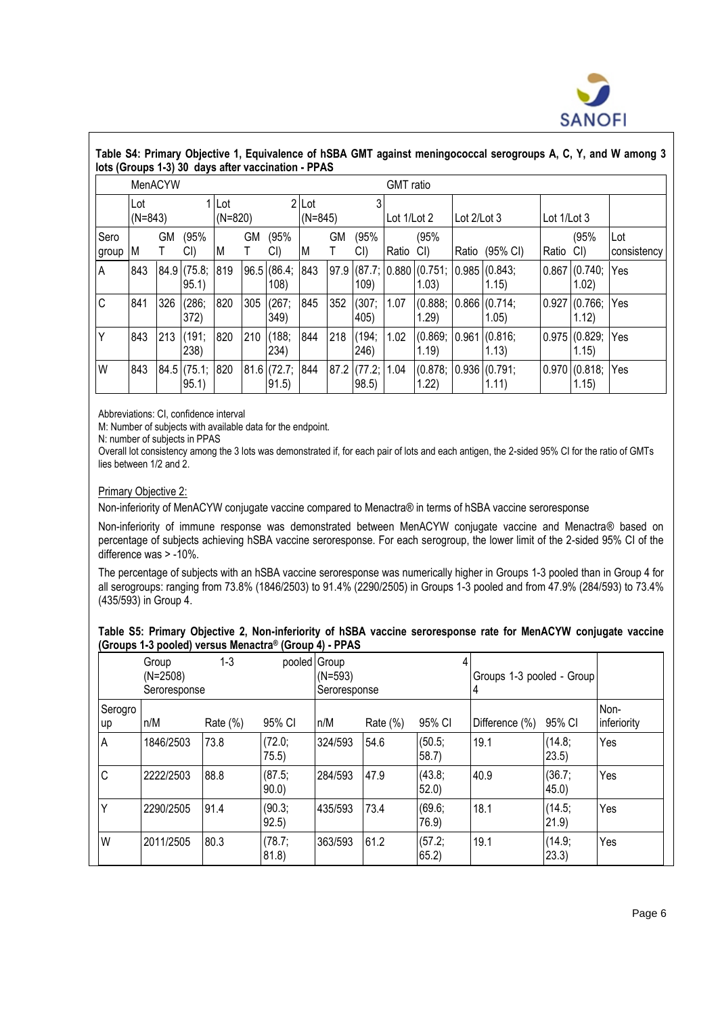

|               | Table S4: Primary Objective 1, Equivalence of hSBA GMT against meningococcal serogroups A, C, Y, and W among 3<br>lots (Groups 1-3) 30 days after vaccination - PPAS |     |                           |     |                           |                            |     |             |                           |                  |                                                  |               |                       |       |                            |                     |
|---------------|----------------------------------------------------------------------------------------------------------------------------------------------------------------------|-----|---------------------------|-----|---------------------------|----------------------------|-----|-------------|---------------------------|------------------|--------------------------------------------------|---------------|-----------------------|-------|----------------------------|---------------------|
|               | MenACYW                                                                                                                                                              |     |                           |     |                           |                            |     |             |                           | <b>GMT</b> ratio |                                                  |               |                       |       |                            |                     |
|               | 1 Lot<br>Lot<br>$(N=843)$<br>$(N=820)$                                                                                                                               |     |                           |     | $2$ Lot<br>3<br>$(N=845)$ |                            |     | Lot 1/Lot 2 |                           | Lot 2/Lot 3      |                                                  | Lot $1/Lot 3$ |                       |       |                            |                     |
| Sero<br>group | M                                                                                                                                                                    | GМ  | (95%<br>CI)               | M   | GМ                        | (95%<br>CI)                | M   | GM          | (95%<br>CI()              | Ratio            | (95%<br>CI)                                      | Ratio         | (95% CI)              | Ratio | (95%<br>CI)                | lLot<br>consistency |
| A             | 843                                                                                                                                                                  |     | $84.9$ (75.8;<br>95.1)    | 819 |                           | 96.5 (86.4; 843)<br>108)   |     |             | 109)                      |                  | 97.9 (87.7; 0.880 (0.751; 0.985 (0.843;<br>1.03) |               | 1.15)                 |       | $0.867$ $(0.740;$<br>1.02) | Yes                 |
| C             | 841                                                                                                                                                                  | 326 | (286;<br>372)             | 820 | 305                       | (267;<br>349)              | 845 | 352         | (307; 1.07)<br>405)       |                  | (0.888;<br>1.29                                  |               | 0.866(0.714)<br>1.05) |       | 0.927(0.766)<br>1.12)      | Yes                 |
| Υ             | 843                                                                                                                                                                  | 213 | (191;<br>238)             | 820 | 210                       | (188;<br>234)              | 844 | 218         | (194;<br>246)             | 1.02             | (0.869; 0.961 (0.816;<br>1.19                    |               | 1.13)                 |       | 0.975(0.829)<br>1.15)      | Yes                 |
| W             | 843                                                                                                                                                                  |     | 84.5 (75.1; 820)<br>95.1) |     |                           | $81.6$ (72.7; 844<br>91.5) |     |             | 87.2 (77.2; 1.04<br>98.5) |                  | (0.878; 0.936)(0.791;<br>1.22                    |               | 1.11)                 |       | $0.970$ $(0.818;$<br>1.15) | Yes                 |

Abbreviations: CI, confidence interval

M: Number of subjects with available data for the endpoint.

N: number of subjects in PPAS

Overall lot consistency among the 3 lots was demonstrated if, for each pair of lots and each antigen, the 2-sided 95% CI for the ratio of GMTs lies between 1/2 and 2.

#### Primary Objective 2:

Non-inferiority of MenACYW conjugate vaccine compared to Menactra® in terms of hSBA vaccine seroresponse

Non-inferiority of immune response was demonstrated between MenACYW conjugate vaccine and Menactra® based on percentage of subjects achieving hSBA vaccine seroresponse. For each serogroup, the lower limit of the 2-sided 95% CI of the difference was > -10%.

The percentage of subjects with an hSBA vaccine seroresponse was numerically higher in Groups 1-3 pooled than in Group 4 for all serogroups: ranging from 73.8% (1846/2503) to 91.4% (2290/2505) in Groups 1-3 pooled and from 47.9% (284/593) to 73.4% (435/593) in Group 4.

| Table S5: Primary Objective 2, Non-inferiority of hSBA vaccine seroresponse rate for MenACYW conjugate vaccine |  |  |  |
|----------------------------------------------------------------------------------------------------------------|--|--|--|
| (Groups 1-3 pooled) versus Menactra® (Group 4) - PPAS                                                          |  |  |  |

|               | Group<br>$(N=2508)$<br>Seroresponse | $1 - 3$     |                 | pooled Group<br>$(N=593)$<br>Seroresponse |             |                 | Groups 1-3 pooled - Group<br>4 |                  |                     |
|---------------|-------------------------------------|-------------|-----------------|-------------------------------------------|-------------|-----------------|--------------------------------|------------------|---------------------|
| Serogro<br>up | n/M                                 | Rate $(\%)$ | 95% CI          | n/M                                       | Rate $(\%)$ | 95% CI          | Difference (%)                 | 95% CI           | Non-<br>inferiority |
| A             | 1846/2503                           | 73.8        | (72.0;<br>75.5) | 324/593                                   | 54.6        | (50.5;<br>58.7) | 19.1                           | (14.8;<br>23.5)  | Yes                 |
| C             | 2222/2503                           | 88.8        | (87.5;<br>90.0  | 284/593                                   | 47.9        | (43.8;<br>52.0  | 40.9                           | (36.7)<br>45.0)  | Yes                 |
|               | 2290/2505                           | 91.4        | (90.3;<br>92.5) | 435/593                                   | 73.4        | (69.6)<br>76.9  | 18.1                           | (14.5;<br>21.9)  | Yes                 |
| W             | 2011/2505                           | 80.3        | (78.7;<br>81.8) | 363/593                                   | 61.2        | (57.2;<br>65.2  | 19.1                           | (14.9;<br>(23.3) | Yes                 |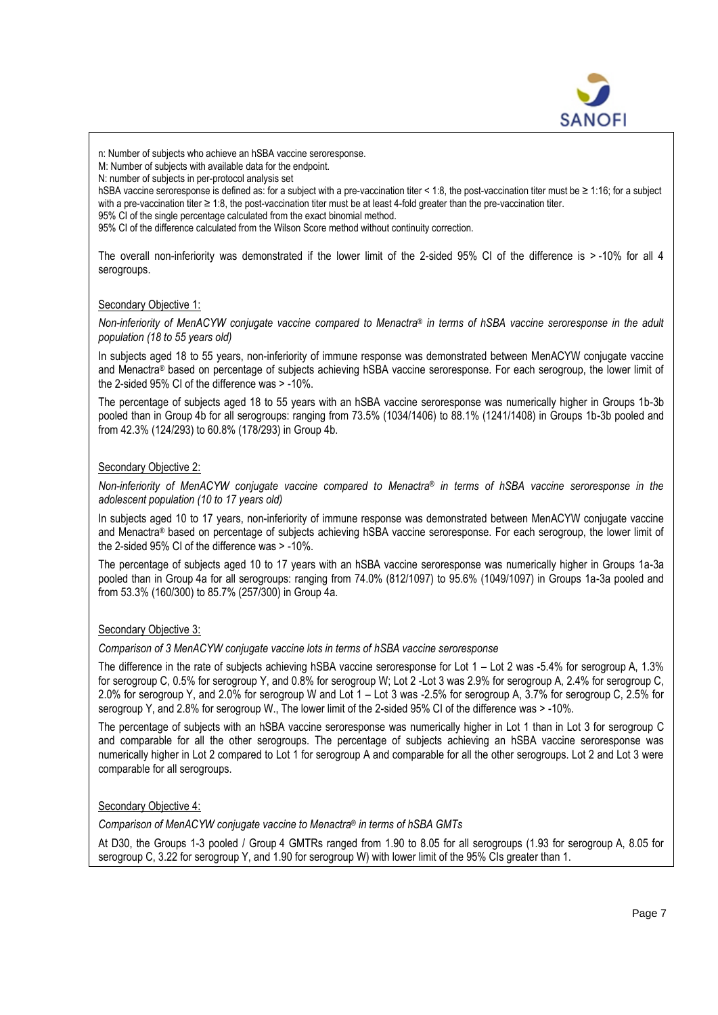

n: Number of subjects who achieve an hSBA vaccine seroresponse.

M: Number of subjects with available data for the endpoint.

N: number of subjects in per-protocol analysis set

hSBA vaccine seroresponse is defined as: for a subject with a pre-vaccination titer < 1:8, the post-vaccination titer must be ≥ 1:16; for a subject with a pre-vaccination titer ≥ 1:8, the post-vaccination titer must be at least 4-fold greater than the pre-vaccination titer.

95% CI of the single percentage calculated from the exact binomial method.

95% CI of the difference calculated from the Wilson Score method without continuity correction.

The overall non-inferiority was demonstrated if the lower limit of the 2-sided 95% CI of the difference is > -10% for all 4 serogroups.

### Secondary Objective 1:

*Non-inferiority of MenACYW conjugate vaccine compared to Menactra® in terms of hSBA vaccine seroresponse in the adult population (18 to 55 years old)*

In subjects aged 18 to 55 years, non-inferiority of immune response was demonstrated between MenACYW conjugate vaccine and Menactra® based on percentage of subjects achieving hSBA vaccine seroresponse. For each serogroup, the lower limit of the 2-sided 95% CI of the difference was > -10%.

The percentage of subjects aged 18 to 55 years with an hSBA vaccine seroresponse was numerically higher in Groups 1b-3b pooled than in Group 4b for all serogroups: ranging from 73.5% (1034/1406) to 88.1% (1241/1408) in Groups 1b-3b pooled and from 42.3% (124/293) to 60.8% (178/293) in Group 4b.

### Secondary Objective 2:

*Non-inferiority of MenACYW conjugate vaccine compared to Menactra® in terms of hSBA vaccine seroresponse in the adolescent population (10 to 17 years old)*

In subjects aged 10 to 17 years, non-inferiority of immune response was demonstrated between MenACYW conjugate vaccine and Menactra® based on percentage of subjects achieving hSBA vaccine seroresponse. For each serogroup, the lower limit of the 2-sided 95% CI of the difference was > -10%.

The percentage of subjects aged 10 to 17 years with an hSBA vaccine seroresponse was numerically higher in Groups 1a-3a pooled than in Group 4a for all serogroups: ranging from 74.0% (812/1097) to 95.6% (1049/1097) in Groups 1a-3a pooled and from 53.3% (160/300) to 85.7% (257/300) in Group 4a.

### Secondary Objective 3:

*Comparison of 3 MenACYW conjugate vaccine lots in terms of hSBA vaccine seroresponse*

The difference in the rate of subjects achieving hSBA vaccine seroresponse for Lot 1 – Lot 2 was -5.4% for serogroup A, 1.3% for serogroup C, 0.5% for serogroup Y, and 0.8% for serogroup W; Lot 2 -Lot 3 was 2.9% for serogroup A, 2.4% for serogroup C, 2.0% for serogroup Y, and 2.0% for serogroup W and Lot 1 – Lot 3 was -2.5% for serogroup A, 3.7% for serogroup C, 2.5% for serogroup Y, and 2.8% for serogroup W., The lower limit of the 2-sided 95% CI of the difference was  $> -10$ %.

The percentage of subjects with an hSBA vaccine seroresponse was numerically higher in Lot 1 than in Lot 3 for serogroup C and comparable for all the other serogroups. The percentage of subjects achieving an hSBA vaccine seroresponse was numerically higher in Lot 2 compared to Lot 1 for serogroup A and comparable for all the other serogroups. Lot 2 and Lot 3 were comparable for all serogroups.

## Secondary Objective 4:

*Comparison of MenACYW conjugate vaccine to Menactra® in terms of hSBA GMTs*

At D30, the Groups 1-3 pooled / Group 4 GMTRs ranged from 1.90 to 8.05 for all serogroups (1.93 for serogroup A, 8.05 for serogroup C, 3.22 for serogroup Y, and 1.90 for serogroup W) with lower limit of the 95% CIs greater than 1.